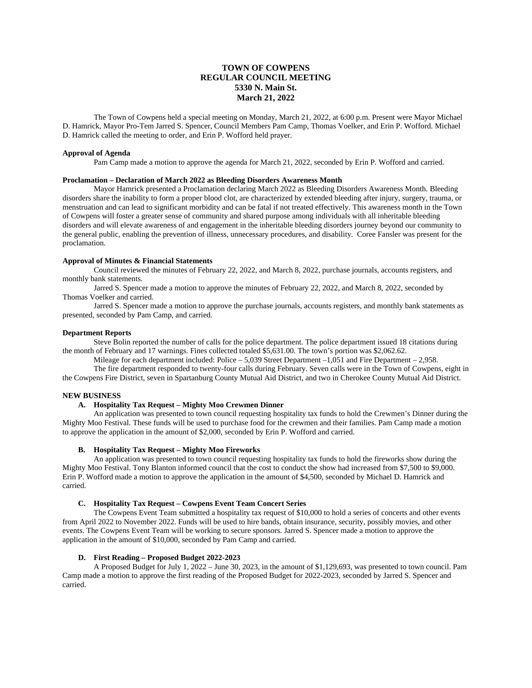# **TOWN OF COWPENS REGULAR COUNCIL MEETING 5330 N. Main St. March 21, 2022**

The Town of Cowpens held a special meeting on Monday, March 21, 2022, at 6:00 p.m. Present were Mayor Michael D. Hamrick, Mayor Pro-Tem Jarred S. Spencer, Council Members Pam Camp, Thomas Voelker, and Erin P. Wofford. Michael D. Hamrick called the meeting to order, and Erin P. Wofford held prayer.

#### **Approval of Agenda**

Pam Camp made a motion to approve the agenda for March 21, 2022, seconded by Erin P. Wofford and carried.

### **Proclamation – Declaration of March 2022 as Bleeding Disorders Awareness Month**

Mayor Hamrick presented a Proclamation declaring March 2022 as Bleeding Disorders Awareness Month. Bleeding disorders share the inability to form a proper blood clot, are characterized by extended bleeding after injury, surgery, trauma, or menstruation and can lead to significant morbidity and can be fatal if not treated effectively. This awareness month in the Town of Cowpens will foster a greater sense of community and shared purpose among individuals with all inheritable bleeding disorders and will elevate awareness of and engagement in the inheritable bleeding disorders journey beyond our community to the general public, enabling the prevention of illness, unnecessary procedures, and disability. Coree Fansler was present for the proclamation.

#### **Approval of Minutes & Financial Statements**

Council reviewed the minutes of February 22, 2022, and March 8, 2022, purchase journals, accounts registers, and monthly bank statements.

Jarred S. Spencer made a motion to approve the minutes of February 22, 2022, and March 8, 2022, seconded by Thomas Voelker and carried.

Jarred S. Spencer made a motion to approve the purchase journals, accounts registers, and monthly bank statements as presented, seconded by Pam Camp, and carried.

#### **Department Reports**

Steve Bolin reported the number of calls for the police department. The police department issued 18 citations during the month of February and 17 warnings. Fines collected totaled \$5,631.00. The town's portion was \$2,062.62.

Mileage for each department included: Police – 5,039 Street Department –1,051 and Fire Department – 2,958.

The fire department responded to twenty-four calls during February. Seven calls were in the Town of Cowpens, eight in the Cowpens Fire District, seven in Spartanburg County Mutual Aid District, and two in Cherokee County Mutual Aid District.

#### **NEW BUSINESS**

## **A. Hospitality Tax Request – Mighty Moo Crewmen Dinner**

An application was presented to town council requesting hospitality tax funds to hold the Crewmen's Dinner during the Mighty Moo Festival. These funds will be used to purchase food for the crewmen and their families. Pam Camp made a motion to approve the application in the amount of \$2,000, seconded by Erin P. Wofford and carried.

## **B. Hospitality Tax Request – Mighty Moo Fireworks**

An application was presented to town council requesting hospitality tax funds to hold the fireworks show during the Mighty Moo Festival. Tony Blanton informed council that the cost to conduct the show had increased from \$7,500 to \$9,000. Erin P. Wofford made a motion to approve the application in the amount of \$4,500, seconded by Michael D. Hamrick and carried.

#### **C. Hospitality Tax Request – Cowpens Event Team Concert Series**

The Cowpens Event Team submitted a hospitality tax request of \$10,000 to hold a series of concerts and other events from April 2022 to November 2022. Funds will be used to hire bands, obtain insurance, security, possibly movies, and other events. The Cowpens Event Team will be working to secure sponsors. Jarred S. Spencer made a motion to approve the application in the amount of \$10,000, seconded by Pam Camp and carried.

## **D. First Reading – Proposed Budget 2022-2023**

A Proposed Budget for July 1, 2022 – June 30, 2023, in the amount of \$1,129,693, was presented to town council. Pam Camp made a motion to approve the first reading of the Proposed Budget for 2022-2023, seconded by Jarred S. Spencer and carried.